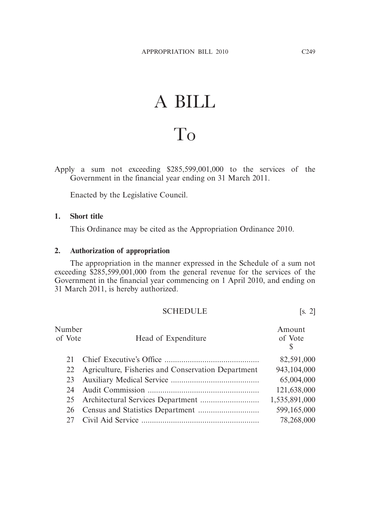## A BILL To

Apply a sum not exceeding \$285,599,001,000 to the services of the Government in the financial year ending on 31 March 2011.

Enacted by the Legislative Council.

## **1. Short title**

This Ordinance may be cited as the Appropriation Ordinance 2010.

## **2. Authorization of appropriation**

 The appropriation in the manner expressed in the Schedule of a sum not exceeding \$285,599,001,000 from the general revenue for the services of the Government in the financial year commencing on 1 April 2010, and ending on 31 March 2011, is hereby authorized.

SCHEDULE [s. 2]

| Number<br>of Vote | Head of Expenditure                                | Amount<br>of Vote<br>\$ |
|-------------------|----------------------------------------------------|-------------------------|
| 21                |                                                    | 82,591,000              |
| 22                | Agriculture, Fisheries and Conservation Department | 943,104,000             |
| 23                |                                                    | 65,004,000              |
| 24                |                                                    | 121,638,000             |
|                   |                                                    | 1,535,891,000           |
| 26                |                                                    | 599,165,000             |
| 27                |                                                    | 78,268,000              |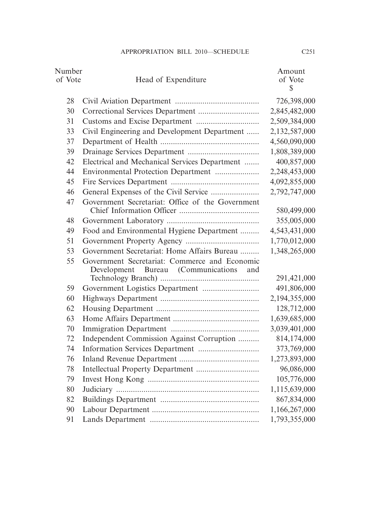| Number<br>of Vote | Head of Expenditure                                                                        | Amount<br>of Vote<br>$\mathbb{S}$ |
|-------------------|--------------------------------------------------------------------------------------------|-----------------------------------|
| 28                |                                                                                            | 726,398,000                       |
| 30                |                                                                                            | 2,845,482,000                     |
| 31                |                                                                                            | 2,509,384,000                     |
| 33                | Civil Engineering and Development Department                                               | 2,132,587,000                     |
| 37                |                                                                                            | 4,560,090,000                     |
| 39                |                                                                                            | 1,808,389,000                     |
| 42                | Electrical and Mechanical Services Department                                              | 400,857,000                       |
| 44                | Environmental Protection Department                                                        | 2,248,453,000                     |
| 45                |                                                                                            | 4,092,855,000                     |
| 46                |                                                                                            | 2,792,747,000                     |
| 47                | Government Secretariat: Office of the Government                                           |                                   |
|                   |                                                                                            | 580,499,000                       |
| 48                |                                                                                            | 355,005,000                       |
| 49                | Food and Environmental Hygiene Department                                                  | 4,543,431,000                     |
| 51                |                                                                                            | 1,770,012,000                     |
| 53                | Government Secretariat: Home Affairs Bureau                                                | 1,348,265,000                     |
| 55                | Government Secretariat: Commerce and Economic<br>Development Bureau (Communications<br>and | 291,421,000                       |
| 59                |                                                                                            | 491,806,000                       |
| 60                |                                                                                            | 2,194,355,000                     |
| 62                |                                                                                            | 128,712,000                       |
| 63                |                                                                                            | 1,639,685,000                     |
| 70                |                                                                                            | 3,039,401,000                     |
| 72                | Independent Commission Against Corruption                                                  | 814,174,000                       |
| 74                |                                                                                            | 373,769,000                       |
| 76                |                                                                                            | 1,273,893,000                     |
| 78                |                                                                                            | 96,086,000                        |
| 79                |                                                                                            | 105,776,000                       |
| 80                |                                                                                            | 1,115,639,000                     |
| 82                |                                                                                            | 867,834,000                       |
| 90                |                                                                                            | 1,166,267,000                     |
| 91                |                                                                                            | 1,793,355,000                     |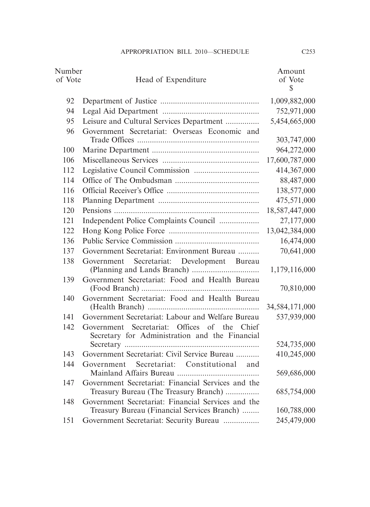| Number  |                                                                                                | Amount            |
|---------|------------------------------------------------------------------------------------------------|-------------------|
| of Vote | Head of Expenditure                                                                            | of Vote           |
|         |                                                                                                | $\mathbb{S}$      |
| 92      |                                                                                                | 1,009,882,000     |
| 94      |                                                                                                | 752,971,000       |
| 95      | Leisure and Cultural Services Department                                                       | 5,454,665,000     |
| 96      | Government Secretariat: Overseas Economic and                                                  |                   |
|         |                                                                                                | 303,747,000       |
| 100     |                                                                                                | 964,272,000       |
| 106     |                                                                                                | 17,600,787,000    |
| 112     |                                                                                                | 414,367,000       |
| 114     |                                                                                                | 88,487,000        |
| 116     |                                                                                                | 138,577,000       |
| 118     |                                                                                                | 475,571,000       |
| 120     |                                                                                                | 18,587,447,000    |
| 121     | Independent Police Complaints Council                                                          | 27,177,000        |
| 122     |                                                                                                | 13,042,384,000    |
| 136     |                                                                                                | 16,474,000        |
| 137     | Government Secretariat: Environment Bureau                                                     | 70,641,000        |
| 138     | Secretariat: Development Bureau<br>Government                                                  | 1,179,116,000     |
| 139     | Government Secretariat: Food and Health Bureau                                                 | 70,810,000        |
| 140     | Government Secretariat: Food and Health Bureau                                                 | 34, 584, 171, 000 |
| 141     | Government Secretariat: Labour and Welfare Bureau                                              | 537,939,000       |
| 142     | Government Secretariat: Offices of the Chief<br>Secretary for Administration and the Financial |                   |
|         |                                                                                                | 524,735,000       |
| 143     | Government Secretariat: Civil Service Bureau                                                   | 410,245,000       |
| 144     | Government Secretariat: Constitutional<br>and                                                  |                   |
|         |                                                                                                | 569,686,000       |
| 147     | Government Secretariat: Financial Services and the                                             |                   |
|         | Treasury Bureau (The Treasury Branch)                                                          | 685,754,000       |
| 148     | Government Secretariat: Financial Services and the                                             |                   |
|         | Treasury Bureau (Financial Services Branch)                                                    | 160,788,000       |
| 151     | Government Secretariat: Security Bureau                                                        | 245,479,000       |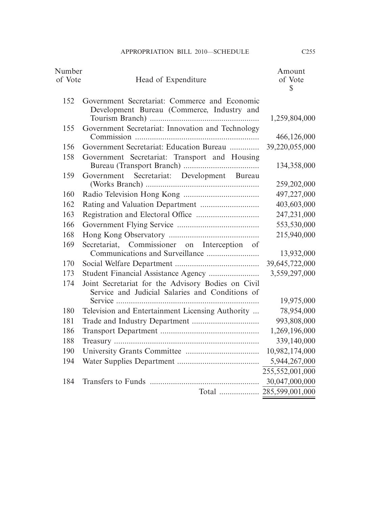| Number  |                                                                                                       | Amount                  |
|---------|-------------------------------------------------------------------------------------------------------|-------------------------|
| of Vote | Head of Expenditure                                                                                   | of Vote<br>$\mathbb{S}$ |
| 152     | Government Secretariat: Commerce and Economic<br>Development Bureau (Commerce, Industry and           |                         |
|         |                                                                                                       | 1,259,804,000           |
| 155     | Government Secretariat: Innovation and Technology                                                     | 466,126,000             |
| 156     | Government Secretariat: Education Bureau                                                              | 39,220,055,000          |
| 158     | Government Secretariat: Transport and Housing                                                         | 134,358,000             |
| 159     | Government Secretariat: Development Bureau                                                            |                         |
|         |                                                                                                       | 259, 202, 000           |
| 160     |                                                                                                       | 497,227,000             |
| 162     |                                                                                                       | 403,603,000             |
| 163     |                                                                                                       | 247,231,000             |
| 166     |                                                                                                       | 553,530,000             |
| 168     |                                                                                                       | 215,940,000             |
| 169     | Secretariat, Commissioner on Interception of                                                          |                         |
|         |                                                                                                       | 13,932,000              |
| 170     |                                                                                                       | 39,645,722,000          |
| 173     | Student Financial Assistance Agency                                                                   | 3,559,297,000           |
| 174     | Joint Secretariat for the Advisory Bodies on Civil<br>Service and Judicial Salaries and Conditions of |                         |
|         |                                                                                                       | 19,975,000              |
| 180     | Television and Entertainment Licensing Authority                                                      | 78,954,000              |
| 181     |                                                                                                       | 993,808,000             |
| 186     |                                                                                                       | 1,269,196,000           |
| 188     |                                                                                                       | 339,140,000             |
| 190     |                                                                                                       | 10,982,174,000          |
| 194     |                                                                                                       | 5,944,267,000           |
|         |                                                                                                       | 255,552,001,000         |
| 184     |                                                                                                       | 30,047,000,000          |
|         |                                                                                                       |                         |